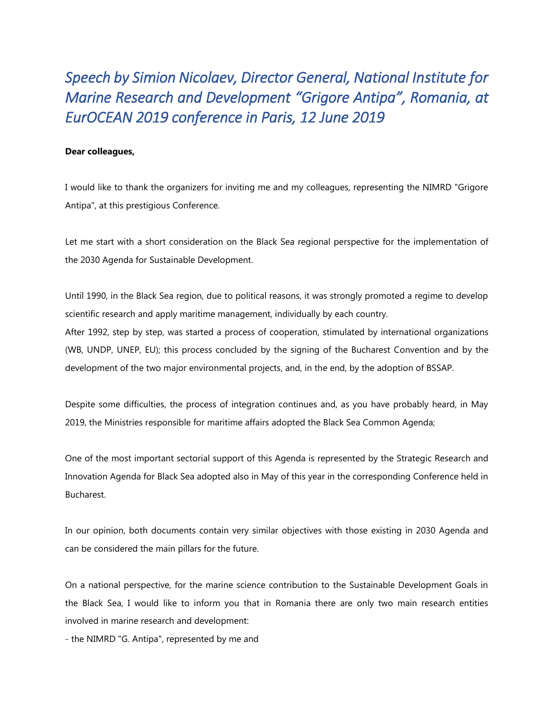*Speech by Simion Nicolaev, Director General, National Institute for Marine Research and Development "Grigore Antipa", Romania, at EurOCEAN 2019 conference in Paris, 12 June 2019* 

## **Dear colleagues,**

I would like to thank the organizers for inviting me and my colleagues, representing the NIMRD "Grigore Antipa", at this prestigious Conference.

Let me start with a short consideration on the Black Sea regional perspective for the implementation of the 2030 Agenda for Sustainable Development.

Until 1990, in the Black Sea region, due to political reasons, it was strongly promoted a regime to develop scientific research and apply maritime management, individually by each country.

After 1992, step by step, was started a process of cooperation, stimulated by international organizations (WB, UNDP, UNEP, EU); this process concluded by the signing of the Bucharest Convention and by the development of the two major environmental projects, and, in the end, by the adoption of BSSAP.

Despite some difficulties, the process of integration continues and, as you have probably heard, in May 2019, the Ministries responsible for maritime affairs adopted the Black Sea Common Agenda;

One of the most important sectorial support of this Agenda is represented by the Strategic Research and Innovation Agenda for Black Sea adopted also in May of this year in the corresponding Conference held in Bucharest.

In our opinion, both documents contain very similar objectives with those existing in 2030 Agenda and can be considered the main pillars for the future.

On a national perspective, for the marine science contribution to the Sustainable Development Goals in the Black Sea, I would like to inform you that in Romania there are only two main research entities involved in marine research and development:

- the NIMRD "G. Antipa", represented by me and